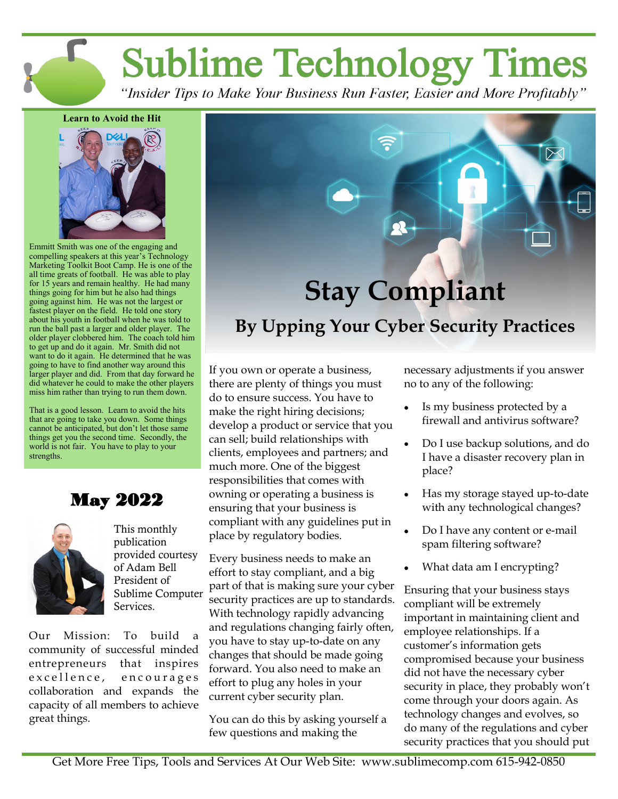**Sublime Technology Times** 

"Insider Tips to Make Your Business Run Faster, Easier and More Profitably"

#### **Learn to Avoid the Hit**



Emmitt Smith was one of the engaging and compelling speakers at this year's Technology Marketing Toolkit Boot Camp. He is one of the all time greats of football. He was able to play for 15 years and remain healthy. He had many things going for him but he also had things going against him. He was not the largest or fastest player on the field. He told one story about his youth in football when he was told to run the ball past a larger and older player. The older player clobbered him. The coach told him to get up and do it again. Mr. Smith did not want to do it again. He determined that he was going to have to find another way around this larger player and did. From that day forward he did whatever he could to make the other players miss him rather than trying to run them down.

That is a good lesson. Learn to avoid the hits that are going to take you down. Some things cannot be anticipated, but don't let those same things get you the second time. Secondly, the world is not fair. You have to play to your strengths.

May 2022



This monthly publication provided courtesy of Adam Bell President of Sublime Computer Services.

Our Mission: To build a community of successful minded entrepreneurs that inspires excellence, encourages collaboration and expands the capacity of all members to achieve great things.

# **Protection** Stay Compliant By Upping Your Cyber Security Practices **Stay Compliant**

If you own or operate a business, there are plenty of things you must do to ensure success. You have to make the right hiring decisions; develop a product or service that you can sell; build relationships with clients, employees and partners; and much more. One of the biggest responsibilities that comes with owning or operating a business is ensuring that your business is compliant with any guidelines put in place by regulatory bodies.

Every business needs to make an effort to stay compliant, and a big part of that is making sure your cyber security practices are up to standards. With technology rapidly advancing and regulations changing fairly often, you have to stay up-to-date on any changes that should be made going forward. You also need to make an effort to plug any holes in your current cyber security plan.

You can do this by asking yourself a few questions and making the

necessary adjustments if you answer no to any of the following:

- Is my business protected by a firewall and antivirus software?
- Do I use backup solutions, and do I have a disaster recovery plan in place?
- Has my storage stayed up-to-date with any technological changes?
- Do I have any content or e-mail spam filtering software?
- What data am I encrypting?

Ensuring that your business stays compliant will be extremely important in maintaining client and employee relationships. If a customer's information gets compromised because your business did not have the necessary cyber security in place, they probably won't come through your doors again. As technology changes and evolves, so do many of the regulations and cyber security practices that you should put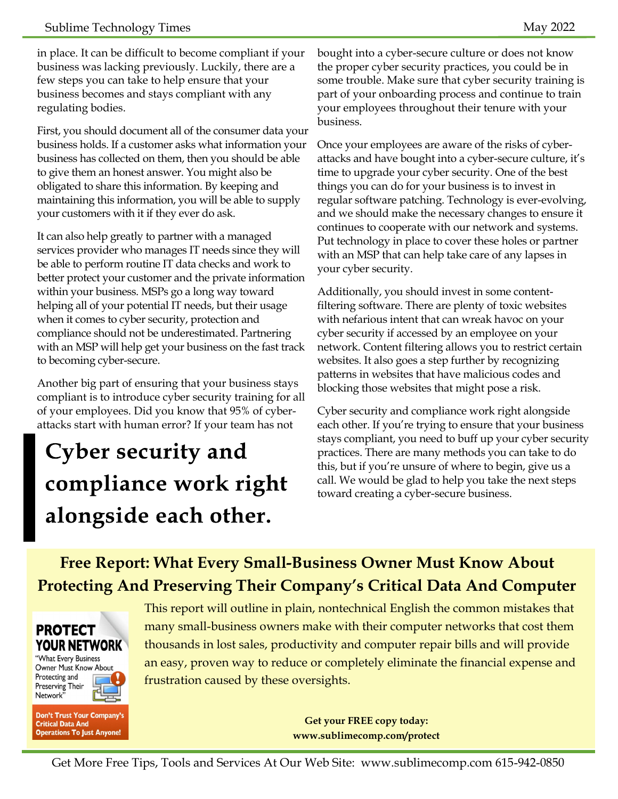in place. It can be difficult to become compliant if your business was lacking previously. Luckily, there are a few steps you can take to help ensure that your business becomes and stays compliant with any regulating bodies.

First, you should document all of the consumer data your business holds. If a customer asks what information your business has collected on them, then you should be able to give them an honest answer. You might also be obligated to share this information. By keeping and maintaining this information, you will be able to supply your customers with it if they ever do ask.

It can also help greatly to partner with a managed services provider who manages IT needs since they will be able to perform routine IT data checks and work to better protect your customer and the private information within your business. MSPs go a long way toward helping all of your potential IT needs, but their usage when it comes to cyber security, protection and compliance should not be underestimated. Partnering with an MSP will help get your business on the fast track to becoming cyber-secure.

Another big part of ensuring that your business stays compliant is to introduce cyber security training for all of your employees. Did you know that 95% of cyberattacks start with human error? If your team has not

# Cyber security and compliance work right alongside each other.

bought into a cyber-secure culture or does not know the proper cyber security practices, you could be in some trouble. Make sure that cyber security training is part of your onboarding process and continue to train your employees throughout their tenure with your business.

Once your employees are aware of the risks of cyberattacks and have bought into a cyber-secure culture, it's time to upgrade your cyber security. One of the best things you can do for your business is to invest in regular software patching. Technology is ever-evolving, and we should make the necessary changes to ensure it continues to cooperate with our network and systems. Put technology in place to cover these holes or partner with an MSP that can help take care of any lapses in your cyber security.

Additionally, you should invest in some contentfiltering software. There are plenty of toxic websites with nefarious intent that can wreak havoc on your cyber security if accessed by an employee on your network. Content filtering allows you to restrict certain websites. It also goes a step further by recognizing patterns in websites that have malicious codes and blocking those websites that might pose a risk.

Cyber security and compliance work right alongside each other. If you're trying to ensure that your business stays compliant, you need to buff up your cyber security practices. There are many methods you can take to do this, but if you're unsure of where to begin, give us a call. We would be glad to help you take the next steps toward creating a cyber-secure business.

## **Free Report: What Every Small-Business Owner Must Know About Protecting And Preserving Their Company's Critical Data And Computer**



"What Every Business Owner Must Know About Protecting and Preserving Their<br>Network"

Don't Trust Your Company's **Critical Data And Operations To Just Anyone!** 

This report will outline in plain, nontechnical English the common mistakes that many small-business owners make with their computer networks that cost them thousands in lost sales, productivity and computer repair bills and will provide an easy, proven way to reduce or completely eliminate the financial expense and frustration caused by these oversights.

> **Get your FREE copy today: www.sublimecomp.com/protect**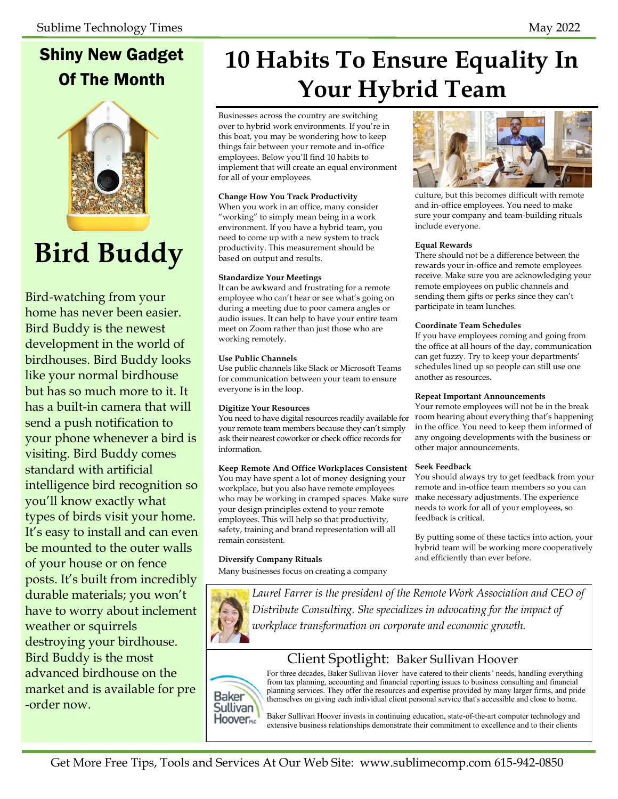## Shiny New Gadget Of The Month



# **Bird Buddy**

Bird-watching from your home has never been easier. Bird Buddy is the newest development in the world of birdhouses. Bird Buddy looks like your normal birdhouse but has so much more to it. It has a built-in camera that will send a push notification to your phone whenever a bird is visiting. Bird Buddy comes standard with artificial intelligence bird recognition so you'll know exactly what types of birds visit your home. It's easy to install and can even be mounted to the outer walls of your house or on fence posts. It's built from incredibly durable materials; you won't have to worry about inclement weather or squirrels destroying your birdhouse. Bird Buddy is the most advanced birdhouse on the market and is available for pre -order now.

## **10 Habits To Ensure Equality In Your Hybrid Team**

Businesses across the country are switching over to hybrid work environments. If you're in this boat, you may be wondering how to keep things fair between your remote and in-office employees. Below you'll find 10 habits to implement that will create an equal environment for all of your employees.

#### **Change How You Track Productivity**

When you work in an office, many consider "working" to simply mean being in a work environment. If you have a hybrid team, you need to come up with a new system to track productivity. This measurement should be based on output and results.

#### **Standardize Your Meetings**

It can be awkward and frustrating for a remote employee who can't hear or see what's going on during a meeting due to poor camera angles or audio issues. It can help to have your entire team meet on Zoom rather than just those who are working remotely.

#### **Use Public Channels**

Use public channels like Slack or Microsoft Teams for communication between your team to ensure everyone is in the loop.

#### **Digitize Your Resources**

You need to have digital resources readily available for your remote team members because they can't simply ask their nearest coworker or check office records for information.

#### **Keep Remote And Office Workplaces Consistent**

You may have spent a lot of money designing your workplace, but you also have remote employees who may be working in cramped spaces. Make sure your design principles extend to your remote employees. This will help so that productivity, safety, training and brand representation will all remain consistent.

#### **Diversify Company Rituals**

Many businesses focus on creating a company



### Client Spotlight: Baker Sullivan Hoover



For three decades, Baker Sullivan Hover have catered to their clients' needs, handling everything from tax planning, accounting and financial reporting issues to business consulting and financial planning services. They offer the resources and expertise provided by many larger firms, and pride themselves on giving each individual client personal service that's accessible and close to home.

Baker Sullivan Hoover invests in continuing education, state-of-the-art computer technology and extensive business relationships demonstrate their commitment to excellence and to their clients



culture, but this becomes difficult with remote and in-office employees. You need to make sure your company and team-building rituals include everyone.

#### **Equal Rewards**

There should not be a difference between the rewards your in-office and remote employees receive. Make sure you are acknowledging your remote employees on public channels and sending them gifts or perks since they can't participate in team lunches.

#### **Coordinate Team Schedules**

If you have employees coming and going from the office at all hours of the day, communication can get fuzzy. Try to keep your departments' schedules lined up so people can still use one another as resources.

#### **Repeat Important Announcements**

Your remote employees will not be in the break room hearing about everything that's happening in the office. You need to keep them informed of any ongoing developments with the business or other major announcements.

#### **Seek Feedback**

You should always try to get feedback from your remote and in-office team members so you can make necessary adjustments. The experience needs to work for all of your employees, so feedback is critical.

By putting some of these tactics into action, your hybrid team will be working more cooperatively and efficiently than ever before.